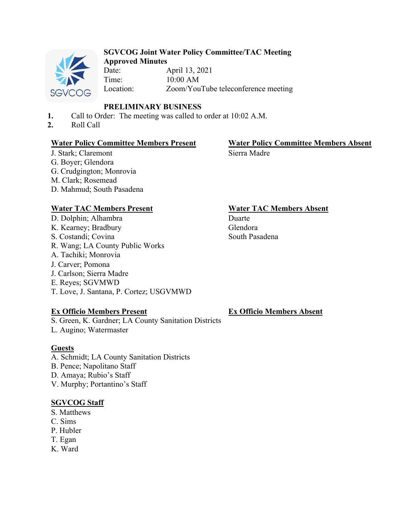

## **SGVCOG Joint Water Policy Committee/TAC Meeting Approved Minutes**

Date: April 13, 2021 Time: 10:00 AM Location: Zoom/YouTube teleconference meeting

## **PRELIMINARY BUSINESS**

- **1.** Call to Order: The meeting was called to order at 10:02 A.M.
- **2.** Roll Call

## **Water Policy Committee Members Present Water Policy Committee Members Absent**

## J. Stark; Claremont G. Boyer; Glendora G. Crudgington; Monrovia M. Clark; Rosemead D. Mahmud; South Pasadena

D. Dolphin; Alhambra K. Kearney; Bradbury S. Costandi; Covina R. Wang; LA County Public Works A. Tachiki; Monrovia J. Carver; Pomona J. Carlson; Sierra Madre E. Reyes; SGVMWD T. Love, J. Santana, P. Cortez; USGVMWD

## **Ex Officio Members Present**

S. Green, K. Gardner; LA County Sanitation Districts L. Augino; Watermaster

## **Guests**

- A. Schmidt; LA County Sanitation Districts
- B. Pence; Napolitano Staff
- D. Amaya; Rubio's Staff
- V. Murphy; Portantino's Staff

## **SGVCOG Staff**

- S. Matthews
- C. Sims
- P. Hubler
- T. Egan
- K. Ward

# **Water TAC Members Present Water TAC Members Absent**

Duarte Glendora South Pasadena

Sierra Madre

## **Ex Officio Members Absent**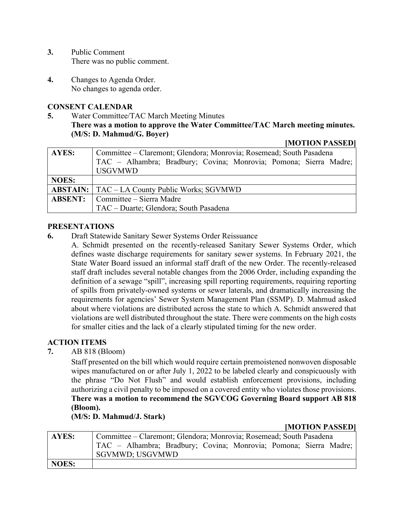- **3.** Public Comment There was no public comment.
- **4.** Changes to Agenda Order. No changes to agenda order.

## **CONSENT CALENDAR**

**5.** Water Committee/TAC March Meeting Minutes **There was a motion to approve the Water Committee/TAC March meeting minutes. (M/S: D. Mahmud/G. Boyer)** 

#### **[MOTION PASSED]**

| <b>AYES:</b> | Committee – Claremont; Glendora; Monrovia; Rosemead; South Pasadena |
|--------------|---------------------------------------------------------------------|
|              | TAC – Alhambra; Bradbury; Covina; Monrovia; Pomona; Sierra Madre;   |
|              | <b>USGVMWD</b>                                                      |
| <b>NOES:</b> |                                                                     |
|              | <b>ABSTAIN:</b>   TAC – LA County Public Works; SGVMWD              |
|              | <b>ABSENT:</b> Committee – Sierra Madre                             |
|              | TAC - Duarte; Glendora; South Pasadena                              |

### **PRESENTATIONS**

- **6.** Draft Statewide Sanitary Sewer Systems Order Reissuance
	- A. Schmidt presented on the recently-released Sanitary Sewer Systems Order, which defines waste discharge requirements for sanitary sewer systems. In February 2021, the State Water Board issued an informal staff draft of the new Order. The recently-released staff draft includes several notable changes from the 2006 Order, including expanding the definition of a sewage "spill", increasing spill reporting requirements, requiring reporting of spills from privately-owned systems or sewer laterals, and dramatically increasing the requirements for agencies' Sewer System Management Plan (SSMP). D. Mahmud asked about where violations are distributed across the state to which A. Schmidt answered that violations are well distributed throughout the state. There were comments on the high costs for smaller cities and the lack of a clearly stipulated timing for the new order.

## **ACTION ITEMS**

**7.** AB 818 (Bloom)

Staff presented on the bill which would require certain premoistened nonwoven disposable wipes manufactured on or after July 1, 2022 to be labeled clearly and conspicuously with the phrase "Do Not Flush" and would establish enforcement provisions, including authorizing a civil penalty to be imposed on a covered entity who violates those provisions. **There was a motion to recommend the SGVCOG Governing Board support AB 818 (Bloom).** 

## **(M/S: D. Mahmud/J. Stark)**

### **[MOTION PASSED]**

| AYES: | Committee – Claremont; Glendora; Monrovia; Rosemead; South Pasadena                  |  |  |
|-------|--------------------------------------------------------------------------------------|--|--|
|       | TAC – Alhambra; Bradbury; Covina; Monrovia; Pomona; Sierra Madre;<br>SGVMWD; USGVMWD |  |  |
| NOES: |                                                                                      |  |  |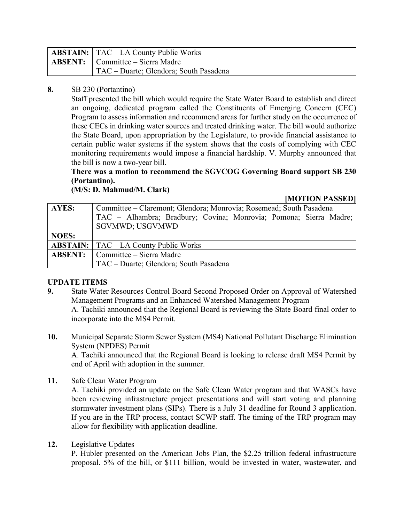| <b>ABSTAIN:</b>   TAC – LA County Public Works |
|------------------------------------------------|
| <b>ABSENT:</b> Committee – Sierra Madre        |
| TAC – Duarte; Glendora; South Pasadena         |

## **8.** SB 230 (Portantino)

Staff presented the bill which would require the State Water Board to establish and direct an ongoing, dedicated program called the Constituents of Emerging Concern (CEC) Program to assess information and recommend areas for further study on the occurrence of these CECs in drinking water sources and treated drinking water. The bill would authorize the State Board, upon appropriation by the Legislature, to provide financial assistance to certain public water systems if the system shows that the costs of complying with CEC monitoring requirements would impose a financial hardship. V. Murphy announced that the bill is now a two-year bill.

## **There was a motion to recommend the SGVCOG Governing Board support SB 230 (Portantino).**

**(M/S: D. Mahmud/M. Clark)** 

**[MOTION PASSED]** 

| <b>AYES:</b>   | Committee – Claremont; Glendora; Monrovia; Rosemead; South Pasadena |
|----------------|---------------------------------------------------------------------|
|                | TAC – Alhambra; Bradbury; Covina; Monrovia; Pomona; Sierra Madre;   |
|                | <b>SGVMWD; USGVMWD</b>                                              |
| <b>NOES:</b>   |                                                                     |
|                | <b>ABSTAIN:</b>   TAC – LA County Public Works                      |
| <b>ABSENT:</b> | Committee – Sierra Madre                                            |
|                | TAC - Duarte; Glendora; South Pasadena                              |

## **UPDATE ITEMS**

- **9.** State Water Resources Control Board Second Proposed Order on Approval of Watershed Management Programs and an Enhanced Watershed Management Program A. Tachiki announced that the Regional Board is reviewing the State Board final order to incorporate into the MS4 Permit.
- **10.** Municipal Separate Storm Sewer System (MS4) National Pollutant Discharge Elimination System (NPDES) Permit A. Tachiki announced that the Regional Board is looking to release draft MS4 Permit by end of April with adoption in the summer.
- **11.** Safe Clean Water Program

A. Tachiki provided an update on the Safe Clean Water program and that WASCs have been reviewing infrastructure project presentations and will start voting and planning stormwater investment plans (SIPs). There is a July 31 deadline for Round 3 application. If you are in the TRP process, contact SCWP staff. The timing of the TRP program may allow for flexibility with application deadline.

**12.** Legislative Updates

P. Hubler presented on the American Jobs Plan, the \$2.25 trillion federal infrastructure proposal. 5% of the bill, or \$111 billion, would be invested in water, wastewater, and